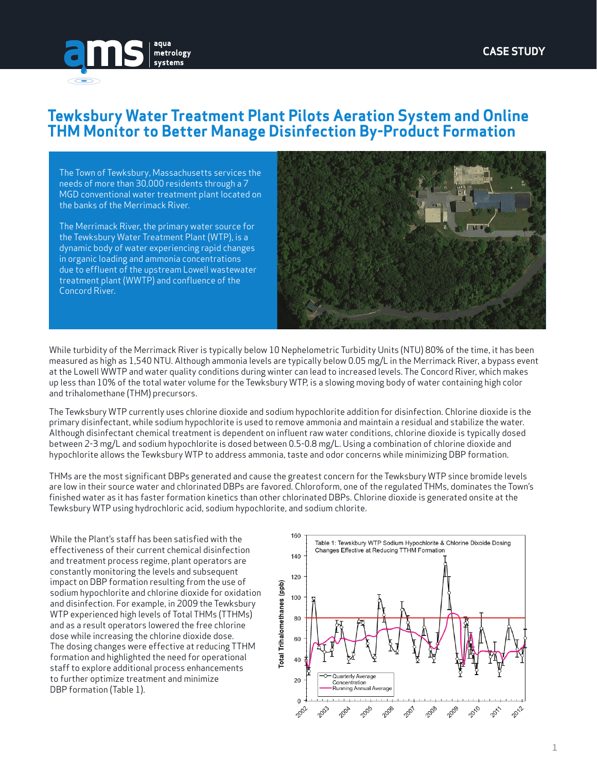

## **Tewksbury Water Treatment Plant Pilots Aeration System and Online THM Monitor to Better Manage Disinfection By-Product Formation**

The Town of Tewksbury, Massachusetts services the needs of more than 30,000 residents through a 7 MGD conventional water treatment plant located on the banks of the Merrimack River.

The Merrimack River, the primary water source for the Tewksbury Water Treatment Plant (WTP), is a dynamic body of water experiencing rapid changes in organic loading and ammonia concentrations due to effluent of the upstream Lowell wastewater treatment plant (WWTP) and confluence of the Concord River.



While turbidity of the Merrimack River is typically below 10 Nephelometric Turbidity Units (NTU) 80% of the time, it has been measured as high as 1,540 NTU. Although ammonia levels are typically below 0.05 mg/L in the Merrimack River, a bypass event at the Lowell WWTP and water quality conditions during winter can lead to increased levels. The Concord River, which makes up less than 10% of the total water volume for the Tewksbury WTP, is a slowing moving body of water containing high color and trihalomethane (THM) precursors.

The Tewksbury WTP currently uses chlorine dioxide and sodium hypochlorite addition for disinfection. Chlorine dioxide is the primary disinfectant, while sodium hypochlorite is used to remove ammonia and maintain a residual and stabilize the water. Although disinfectant chemical treatment is dependent on influent raw water conditions, chlorine dioxide is typically dosed between 2-3 mg/L and sodium hypochlorite is dosed between 0.5-0.8 mg/L. Using a combination of chlorine dioxide and hypochlorite allows the Tewksbury WTP to address ammonia, taste and odor concerns while minimizing DBP formation.

THMs are the most significant DBPs generated and cause the greatest concern for the Tewksbury WTP since bromide levels are low in their source water and chlorinated DBPs are favored. Chloroform, one of the regulated THMs, dominates the Town's finished water as it has faster formation kinetics than other chlorinated DBPs. Chlorine dioxide is generated onsite at the Tewksbury WTP using hydrochloric acid, sodium hypochlorite, and sodium chlorite.

While the Plant's staff has been satisfied with the effectiveness of their current chemical disinfection and treatment process regime, plant operators are constantly monitoring the levels and subsequent impact on DBP formation resulting from the use of sodium hypochlorite and chlorine dioxide for oxidation and disinfection. For example, in 2009 the Tewksbury WTP experienced high levels of Total THMs (TTHMs) and as a result operators lowered the free chlorine dose while increasing the chlorine dioxide dose. The dosing changes were effective at reducing TTHM formation and highlighted the need for operational staff to explore additional process enhancements to further optimize treatment and minimize DBP formation (Table 1).

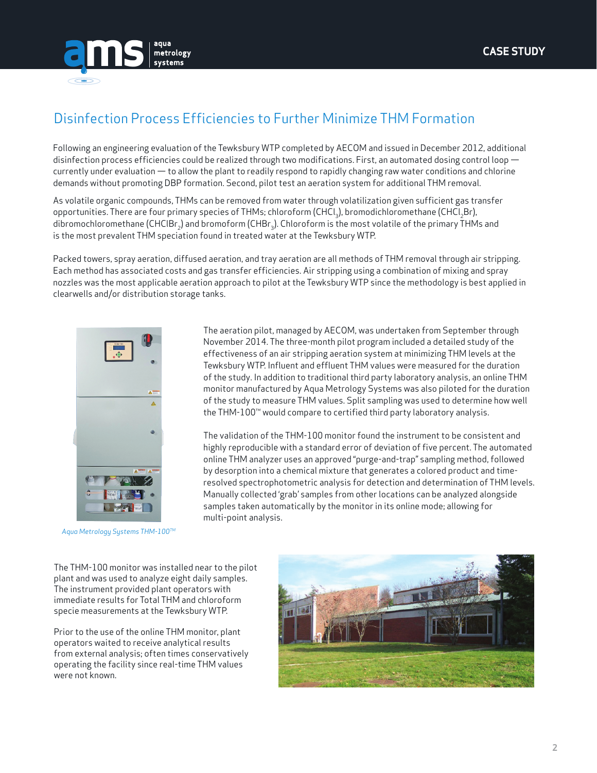

## Disinfection Process Efficiencies to Further Minimize THM Formation

Following an engineering evaluation of the Tewksbury WTP completed by AECOM and issued in December 2012, additional disinfection process efficiencies could be realized through two modifications. First, an automated dosing control loop currently under evaluation — to allow the plant to readily respond to rapidly changing raw water conditions and chlorine demands without promoting DBP formation. Second, pilot test an aeration system for additional THM removal.

As volatile organic compounds, THMs can be removed from water through volatilization given sufficient gas transfer opportunities. There are four primary species of THMs; chloroform (CHCl<sub>3</sub>), bromodichloromethane (CHCl<sub>2</sub>Br), dibromochloromethane (CHCIBr<sub>3</sub>) and bromoform (CHBr<sub>3</sub>). Chloroform is the most volatile of the primary THMs and is the most prevalent THM speciation found in treated water at the Tewksbury WTP.

Packed towers, spray aeration, diffused aeration, and tray aeration are all methods of THM removal through air stripping. Each method has associated costs and gas transfer efficiencies. Air stripping using a combination of mixing and spray nozzles was the most applicable aeration approach to pilot at the Tewksbury WTP since the methodology is best applied in clearwells and/or distribution storage tanks.



*Aqua Metrology Systems THM-100TM*

The aeration pilot, managed by AECOM, was undertaken from September through November 2014. The three-month pilot program included a detailed study of the effectiveness of an air stripping aeration system at minimizing THM levels at the Tewksbury WTP. Influent and effluent THM values were measured for the duration of the study. In addition to traditional third party laboratory analysis, an online THM monitor manufactured by Aqua Metrology Systems was also piloted for the duration of the study to measure THM values. Split sampling was used to determine how well the THM-100™ would compare to certified third party laboratory analysis.

The validation of the THM-100 monitor found the instrument to be consistent and highly reproducible with a standard error of deviation of five percent. The automated online THM analyzer uses an approved "purge-and-trap" sampling method, followed by desorption into a chemical mixture that generates a colored product and timeresolved spectrophotometric analysis for detection and determination of THM levels. Manually collected 'grab' samples from other locations can be analyzed alongside samples taken automatically by the monitor in its online mode; allowing for multi-point analysis.

The THM-100 monitor was installed near to the pilot plant and was used to analyze eight daily samples. The instrument provided plant operators with immediate results for Total THM and chloroform specie measurements at the Tewksbury WTP.

Prior to the use of the online THM monitor, plant operators waited to receive analytical results from external analysis; often times conservatively operating the facility since real-time THM values were not known.